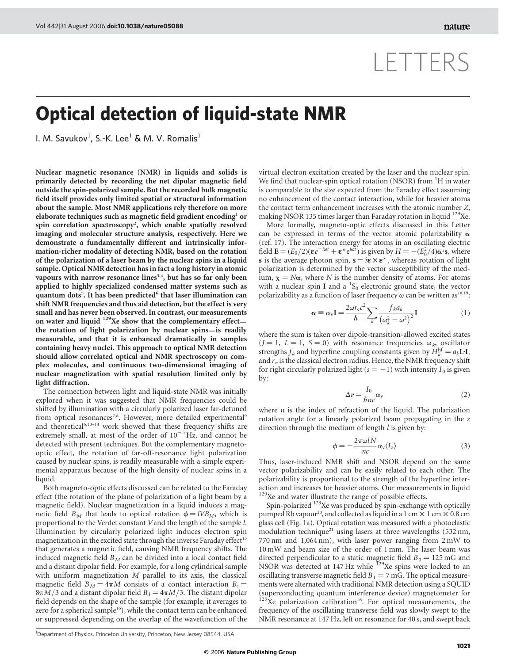## LETTERS

## Optical detection of liquid-state NMR

l. M. Savukov<sup>1</sup>, S.-K. Lee<sup>1</sup> & M. V. Romalis<sup>1</sup>

Nuclear magnetic resonance (NMR) in liquids and solids is primarily detected by recording the net dipolar magnetic field outside the spin-polarized sample. But the recorded bulk magnetic field itself provides only limited spatial or structural information about the sample. Most NMR applications rely therefore on more elaborate techniques such as magnetic field gradient encoding<sup>1</sup> or spin correlation spectroscopy<sup>2</sup>, which enable spatially resolved imaging and molecular structure analysis, respectively. Here we demonstrate a fundamentally different and intrinsically information-richer modality of detecting NMR, based on the rotation of the polarization of a laser beam by the nuclear spins in a liquid sample. Optical NMR detection has in fact a long history in atomic vapours with narrow resonance lines<sup>3,4</sup>, but has so far only been applied to highly specialized condensed matter systems such as quantum dots<sup>5</sup>. It has been predicted<sup>6</sup> that laser illumination can shift NMR frequencies and thus aid detection, but the effect is very small and has never been observed. In contrast, our measurements on water and liquid <sup>129</sup>Xe show that the complementary effectthe rotation of light polarization by nuclear spins—is readily measurable, and that it is enhanced dramatically in samples containing heavy nuclei. This approach to optical NMR detection should allow correlated optical and NMR spectroscopy on complex molecules, and continuous two-dimensional imaging of nuclear magnetization with spatial resolution limited only by light diffraction.

The connection between light and liquid-state NMR was initially explored when it was suggested that NMR frequencies could be shifted by illumination with a circularly polarized laser far-detuned from optical resonances<sup>7,8</sup>. However, more detailed experimental<sup>9</sup> and theoretical<sup>6,10–14</sup> work showed that these frequency shifts are extremely small, at most of the order of  $10^{-5}$  Hz, and cannot be detected with present techniques. But the complementary magnetooptic effect, the rotation of far-off-resonance light polarization caused by nuclear spins, is readily measurable with a simple experimental apparatus because of the high density of nuclear spins in a liquid.

Both magneto-optic effects discussed can be related to the Faraday effect (the rotation of the plane of polarization of a light beam by a magnetic field). Nuclear magnetization in a liquid induces a magnetic field  $B_M$  that leads to optical rotation  $\phi = lVB_M$ , which is proportional to the Verdet constant Vand the length of the sample l. Illumination by circularly polarized light induces electron spin magnetization in the excited state through the inverse Faraday effect<sup>15</sup> that generates a magnetic field, causing NMR frequency shifts. The induced magnetic field  $B_M$  can be divided into a local contact field and a distant dipolar field. For example, for a long cylindrical sample with uniform magnetization M parallel to its axis, the classical magnetic field  $B_M = 4\pi M$  consists of a contact interaction  $B_c =$  $8\pi M/3$  and a distant dipolar field  $B_d = 4\pi M/3$ . The distant dipolar field depends on the shape of the sample (for example, it averages to zero for a spherical sample<sup>16</sup>), while the contact term can be enhanced or suppressed depending on the overlap of the wavefunction of the

virtual electron excitation created by the laser and the nuclear spin. We find that nuclear-spin optical rotation (NSOR) from <sup>1</sup>H in water is comparable to the size expected from the Faraday effect assuming no enhancement of the contact interaction, while for heavier atoms the contact term enhancement increases with the atomic number Z, making NSOR 135 times larger than Faraday rotation in liquid <sup>129</sup>Xe.

More formally, magneto-optic effects discussed in this Letter can be expressed in terms of the vector atomic polarizability  $\alpha$ (ref. 17). The interaction energy for atoms in an oscillating electric field **E** =  $(E_0/2)(\epsilon e^{-i\omega t} + \epsilon^* e^{i\omega t})$  is given by  $H = -(E_0^2/4)\alpha \cdot s$ , where s is the average photon spin,  $s = i\epsilon \times \epsilon^*$ , whereas rotation of light polarization is determined by the vector susceptibility of the medium,  $\chi = N\alpha$ , where N is the number density of atoms. For atoms with a nuclear spin I and a  ${}^{1}S_{0}$  electronic ground state, the vector polarizability as a function of laser frequency  $\omega$  can be written as<sup>18,19</sup>:

$$
\alpha = \alpha_{\rm v} \mathbf{I} = \frac{2\omega r_{\rm e} c^2}{\hbar} \sum_{k} \frac{f_{k} a_{k}}{(\omega_k^2 - \omega^2)^2} \mathbf{I}
$$
 (1)

where the sum is taken over dipole-transition-allowed excited states  $(I = 1, L = 1, S = 0)$  with resonance frequencies  $\omega_k$ , oscillator strengths  $f_k$  and hyperfine coupling constants given by  $H_k^{\text{hf}} = a_k L \cdot I$ , and  $r_e$  is the classical electron radius. Hence, the NMR frequency shift for right circularly polarized light ( $s = -1$ ) with intensity  $I_0$  is given by:

$$
\Delta \nu = \frac{I_0}{\hbar n c} \alpha_{\rm v} \tag{2}
$$

where  $n$  is the index of refraction of the liquid. The polarization rotation angle for a linearly polarized beam propagating in the z direction through the medium of length  $l$  is given by:

$$
\phi = -\frac{2\pi\omega I N}{n c} \alpha_{\rm v} \langle I_z \rangle \tag{3}
$$

Thus, laser-induced NMR shift and NSOR depend on the same vector polarizability and can be easily related to each other. The polarizability is proportional to the strength of the hyperfine interaction and increases for heavier atoms. Our measurements in liquid <sup>129</sup>Xe and water illustrate the range of possible effects.

Spin-polarized 129Xe was produced by spin-exchange with optically pumped Rb vapour<sup>20</sup>, and collected as liquid in a 1 cm  $\times$  1 cm  $\times$  0.8 cm glass cell (Fig. 1a). Optical rotation was measured with a photoelastic modulation technique<sup>21</sup> using lasers at three wavelengths (532 nm, 770 nm and 1,064 nm), with laser power ranging from 2 mW to 10 mW and beam size of the order of 1 mm. The laser beam was directed perpendicular to a static magnetic field  $B_0 = 125 \text{ mG}$  and NSOR was detected at 147 Hz while <sup>129</sup>Xe spins were locked to an oscillating transverse magnetic field  $B_1 = 7$  mG. The optical measurements were alternated with traditional NMR detection using a SQUID (superconducting quantum interference device) magnetometer for  $129Xe$  polarization calibration<sup>16</sup>. For optical measurements, the frequency of the oscillating transverse field was slowly swept to the NMR resonance at 147 Hz, left on resonance for 40 s, and swept back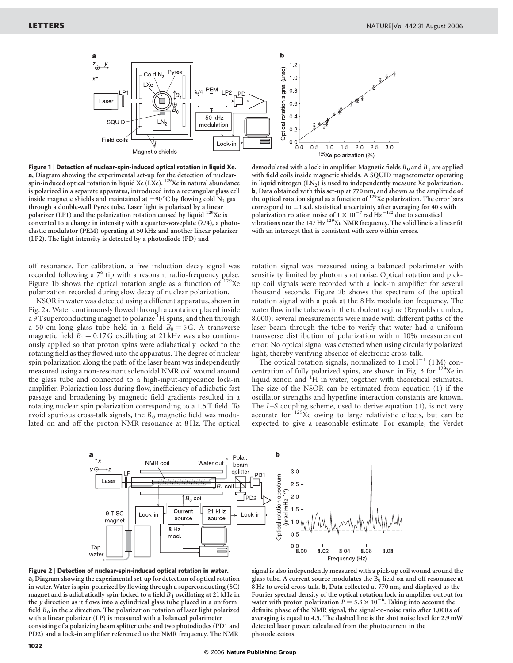

Figure 1 | Detection of nuclear-spin-induced optical rotation in liquid Xe. a, Diagram showing the experimental set-up for the detection of nuclearspin-induced optical rotation in liquid Xe (LXe).  $^{129}$ Xe in natural abundance is polarized in a separate apparatus, introduced into a rectangular glass cell inside magnetic shields and maintained at  $-90^{\circ}$ C by flowing cold N<sub>2</sub> gas through a double-wall Pyrex tube. Laser light is polarized by a linear polarizer (LP1) and the polarization rotation caused by liquid <sup>129</sup>Xe is converted to a change in intensity with a quarter-waveplate  $(\lambda/4)$ , a photoelastic modulator (PEM) operating at 50 kHz and another linear polarizer (LP2). The light intensity is detected by a photodiode (PD) and

off resonance. For calibration, a free induction decay signal was recorded following a  $7^\circ$  tip with a resonant radio-frequency pulse. Figure 1b shows the optical rotation angle as a function of  $129$ Xe polarization recorded during slow decay of nuclear polarization.

NSOR in water was detected using a different apparatus, shown in Fig. 2a. Water continuously flowed through a container placed inside a 9 T superconducting magnet to polarize <sup>1</sup>H spins, and then through a 50-cm-long glass tube held in a field  $B_0 = 5$ G. A transverse magnetic field  $B_1 = 0.17$  G oscillating at 21 kHz was also continuously applied so that proton spins were adiabatically locked to the rotating field as they flowed into the apparatus. The degree of nuclear spin polarization along the path of the laser beam was independently measured using a non-resonant solenoidal NMR coil wound around the glass tube and connected to a high-input-impedance lock-in amplifier. Polarization loss during flow, inefficiency of adiabatic fast passage and broadening by magnetic field gradients resulted in a rotating nuclear spin polarization corresponding to a 1.5 T field. To avoid spurious cross-talk signals, the  $B_0$  magnetic field was modulated on and off the proton NMR resonance at 8 Hz. The optical

demodulated with a lock-in amplifier. Magnetic fields  $B_0$  and  $B_1$  are applied with field coils inside magnetic shields. A SQUID magnetometer operating in liquid nitrogen  $(LN_2)$  is used to independently measure Xe polarization. b, Data obtained with this set-up at 770 nm, and shown as the amplitude of the optical rotation signal as a function of <sup>129</sup>Xe polarization. The error bars correspond to  $\pm$ 1 s.d. statistical uncertainty after averaging for 40 s with polarization rotation noise of  $1 \times 10^{-7}$  rad Hz<sup>-1/2</sup> due to acoustical vibrations near the  $147 \text{ Hz}^{129}$ Xe NMR frequency. The solid line is a linear fit with an intercept that is consistent with zero within errors.

rotation signal was measured using a balanced polarimeter with sensitivity limited by photon shot noise. Optical rotation and pickup coil signals were recorded with a lock-in amplifier for several thousand seconds. Figure 2b shows the spectrum of the optical rotation signal with a peak at the 8 Hz modulation frequency. The water flow in the tube was in the turbulent regime (Reynolds number, 8,000); several measurements were made with different paths of the laser beam through the tube to verify that water had a uniform transverse distribution of polarization within 10% measurement error. No optical signal was detected when using circularly polarized light, thereby verifying absence of electronic cross-talk.

The optical rotation signals, normalized to  $1 \text{ mol} 1^{-1}$  (1 M) concentration of fully polarized spins, are shown in Fig. 3 for  $129Xe$  in liquid xenon and <sup>1</sup>H in water, together with theoretical estimates. The size of the NSOR can be estimated from equation (1) if the oscillator strengths and hyperfine interaction constants are known. The L–S coupling scheme, used to derive equation (1), is not very accurate for  $129Xe$  owing to large relativistic effects, but can be expected to give a reasonable estimate. For example, the Verdet





signal is also independently measured with a pick-up coil wound around the glass tube. A current source modulates the  $B_0$  field on and off resonance at 8 Hz to avoid cross-talk. b, Data collected at 770 nm, and displayed as the Fourier spectral density of the optical rotation lock-in amplifier output for water with proton polarization  $P = 5.3 \times 10^{-6}$ . Taking into account the definite phase of the NMR signal, the signal-to-noise ratio after 1,000 s of averaging is equal to 4.5. The dashed line is the shot noise level for 2.9 mW detected laser power, calculated from the photocurrent in the photodetectors.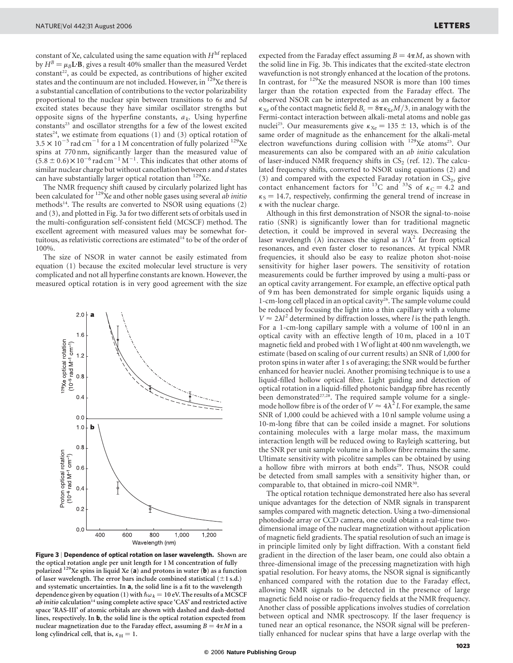constant of Xe, calculated using the same equation with  $H^{\text{hf}}$  replaced by  $H^B = \mu_B \mathbf{L} \cdot \mathbf{B}$ , gives a result 40% smaller than the measured Verdet constant<sup>22</sup>, as could be expected, as contributions of higher excited states and the continuum are not included. However, in <sup>129</sup>Xe there is a substantial cancellation of contributions to the vector polarizability proportional to the nuclear spin between transitions to 6s and 5d excited states because they have similar oscillator strengths but opposite signs of the hyperfine constants,  $a_k$ . Using hyperfine constants<sup>23</sup> and oscillator strengths for a few of the lowest excited states<sup>24</sup>, we estimate from equations (1) and (3) optical rotation of  $3.5 \times 10^{-5}$  rad cm<sup>-1</sup> for a 1 M concentration of fully polarized <sup>129</sup>Xe spins at 770 nm, significantly larger than the measured value of  $(5.8 \pm 0.6) \times 10^{-6}$  rad cm<sup>-1</sup> M<sup>-1</sup>. This indicates that other atoms of similar nuclear charge but without cancellation between s and d states can have substantially larger optical rotation than <sup>129</sup>Xe.

The NMR frequency shift caused by circularly polarized light has been calculated for  $^{129}$ Xe and other noble gases using several *ab initio* methods<sup>14</sup>. The results are converted to NSOR using equations  $(2)$ and (3), and plotted in Fig. 3a for two different sets of orbitals used in the multi-configuration self-consistent field (MCSCF) method. The excellent agreement with measured values may be somewhat fortuitous, as relativistic corrections are estimated<sup>14</sup> to be of the order of 100%.

The size of NSOR in water cannot be easily estimated from equation (1) because the excited molecular level structure is very complicated and not all hyperfine constants are known. However, the measured optical rotation is in very good agreement with the size



Figure 3 | Dependence of optical rotation on laser wavelength. Shown are the optical rotation angle per unit length for 1 M concentration of fully polarized  $129$ Xe spins in liquid Xe (a) and protons in water (b) as a function of laser wavelength. The error bars include combined statistical  $(\pm 1$  s.d.) and systematic uncertainties. In a, the solid line is a fit to the wavelength dependence given by equation (1) with  $\hbar \omega_k = 10$  eV. The results of a MCSCF ab initio calculation<sup>14</sup> using complete active space 'CAS' and restricted active space 'RAS-III' of atomic orbitals are shown with dashed and dash-dotted lines, respectively. In b, the solid line is the optical rotation expected from nuclear magnetization due to the Faraday effect, assuming  $B = 4\pi M$  in a long cylindrical cell, that is,  $\kappa_H = 1$ .

expected from the Faraday effect assuming  $B = 4\pi M$ , as shown with the solid line in Fig. 3b. This indicates that the excited-state electron wavefunction is not strongly enhanced at the location of the protons. In contrast, for 129Xe the measured NSOR is more than 100 times larger than the rotation expected from the Faraday effect. The observed NSOR can be interpreted as an enhancement by a factor  $\kappa_{Xe}$  of the contact magnetic field  $B_c = 8\pi \kappa_{Xe}M/3$ , in analogy with the Fermi-contact interaction between alkali-metal atoms and noble gas nuclei<sup>25</sup>. Our measurements give  $\kappa_{Xe} = 135 \pm 13$ , which is of the same order of magnitude as the enhancement for the alkali-metal electron wavefunctions during collision with  $129Xe$  atoms<sup>25</sup>. Our measurements can also be compared with an ab initio calculation of laser-induced NMR frequency shifts in  $CS_2$  (ref. 12). The calculated frequency shifts, converted to NSOR using equations (2) and (3) and compared with the expected Faraday rotation in  $CS_2$ , give contact enhancement factors for <sup>13</sup>C and <sup>33</sup>S of  $\kappa_c = 4.2$  and  $\kappa$ <sub>S</sub> = 14.7, respectively, confirming the general trend of increase in  $\kappa$  with the nuclear charge.

Although in this first demonstration of NSOR the signal-to-noise ratio (SNR) is significantly lower than for traditional magnetic detection, it could be improved in several ways. Decreasing the laser wavelength ( $\lambda$ ) increases the signal as  $1/\lambda^2$  far from optical resonances, and even faster closer to resonances. At typical NMR frequencies, it should also be easy to realize photon shot-noise sensitivity for higher laser powers. The sensitivity of rotation measurements could be further improved by using a multi-pass or an optical cavity arrangement. For example, an effective optical path of 9 m has been demonstrated for simple organic liquids using a 1-cm-long cell placed in an optical cavity<sup>26</sup>. The sample volume could be reduced by focusing the light into a thin capillary with a volume  $V \approx 2\lambda l^2$  determined by diffraction losses, where l is the path length. For a 1-cm-long capillary sample with a volume of 100 nl in an optical cavity with an effective length of 10 m, placed in a 10 T magnetic field and probed with 1 Wof light at 400 nm wavelength, we estimate (based on scaling of our current results) an SNR of 1,000 for proton spins in water after 1 s of averaging; the SNR would be further enhanced for heavier nuclei. Another promising technique is to use a liquid-filled hollow optical fibre. Light guiding and detection of optical rotation in a liquid-filled photonic bandgap fibre has recently been demonstrated<sup>27,28</sup>. The required sample volume for a singlemode hollow fibre is of the order of  $V \approx 4\lambda^2 l$ . For example, the same SNR of 1,000 could be achieved with a 10 nl sample volume using a 10-m-long fibre that can be coiled inside a magnet. For solutions containing molecules with a large molar mass, the maximum interaction length will be reduced owing to Rayleigh scattering, but the SNR per unit sample volume in a hollow fibre remains the same. Ultimate sensitivity with picolitre samples can be obtained by using a hollow fibre with mirrors at both ends<sup>29</sup>. Thus, NSOR could be detected from small samples with a sensitivity higher than, or comparable to, that obtained in micro-coil NMR<sup>30</sup>.

The optical rotation technique demonstrated here also has several unique advantages for the detection of NMR signals in transparent samples compared with magnetic detection. Using a two-dimensional photodiode array or CCD camera, one could obtain a real-time twodimensional image of the nuclear magnetization without application of magnetic field gradients. The spatial resolution of such an image is in principle limited only by light diffraction. With a constant field gradient in the direction of the laser beam, one could also obtain a three-dimensional image of the precessing magnetization with high spatial resolution. For heavy atoms, the NSOR signal is significantly enhanced compared with the rotation due to the Faraday effect, allowing NMR signals to be detected in the presence of large magnetic field noise or radio-frequency fields at the NMR frequency. Another class of possible applications involves studies of correlation between optical and NMR spectroscopy. If the laser frequency is tuned near an optical resonance, the NSOR signal will be preferentially enhanced for nuclear spins that have a large overlap with the